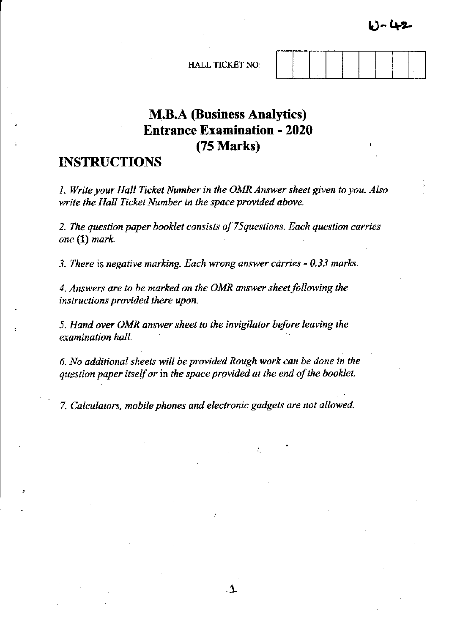

. ] ~ (1-2

# **M.B.A (Business Analytics) Entrance Examination - 2020**  (75 Marks)

# **INSTRUCTIONS**

*1. Write your Hall Ticket Number in the OMR Answer sheet given to you. Also write the Hall Ticket Number in the space provided above.* 

*2. The question paper booklet consists of 75questions. Each question carries one* **(1)** *mark.* 

*3. There* is *negative marking. Each wrong answer carries* - *0.33 marks.* 

4. Answers are to be marked on the OMR answer sheet following the *instructions provided there upon.* 

*5. Hand over OMR answer sheet to the invigilator before leaving the examination hall.* 

*6. No additional sheets will be provided Rough work can be done in the question paper itself or* in *the space provided at the end of the booklet.* 

*7. Calculators, mobile phones and electronic gadgets are not allowed .* 

.  $\mathbf \Lambda$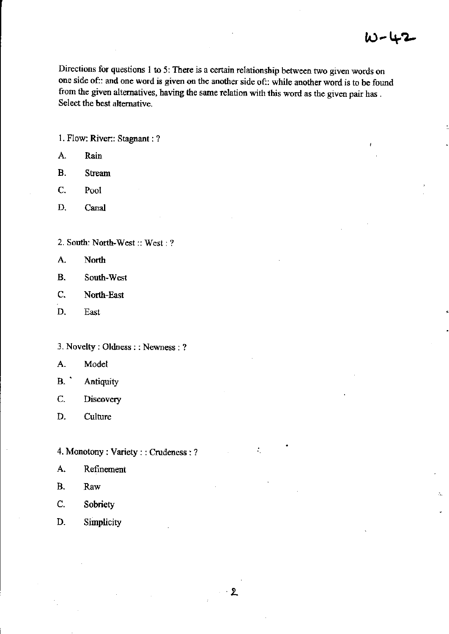÷,

**Directions for questions 1 to 5: There is a certain relationship between two given words on one side of:: and one word is given on the another side of:: while another word is to be found from the given alternatives, having the same relation with this word as the given pair has** . **Select the best alternative.** 

l. Flow: River:: Stagnant: ?

- A. Rain
- B. Stream
- C. Pool
- D. Canal

2. South: North-West:: West: ?

- A. North
- **B. South-West**
- C. North-East
- D. East
- **3. Novelty: Oldness : : Newness:** ?
- A. Model
- B.' Antiquity
- **C. Discovery**
- D. Culture
- 4. Monotony: Variety: : Crudeness: ? ..
- **A. Refinement**
- B. Raw
- C. Sobriety
- D. Simplicity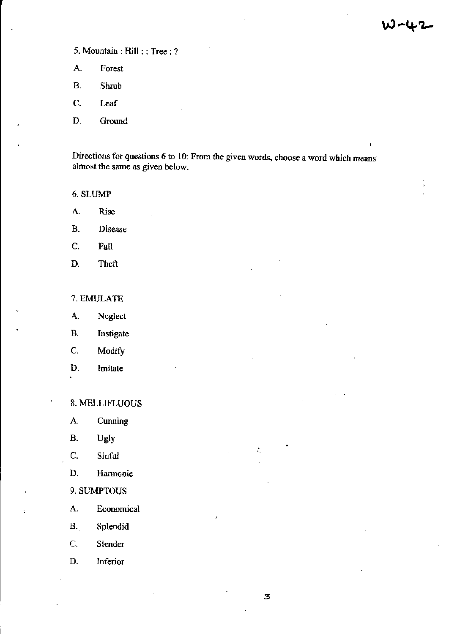# ハールコ

# 5. Mountain: Hill : : Tree: ?

- **A. Forest**
- B. Shrub
- c. Leaf
- D. Ground

Directions for questions 6 to 10: From the given words, choose a word which means<sup>1</sup> **almost the same as given below.** 

### 6. SLUMP

- **A. Rise**
- **B. Disease**
- C. Fall
- D. Theft

### 7.EMVLATE

- A. Neglect
- B. Instigate
- C. Modify
- D. **Imitate**

#### 8. MELLIFLUOUS

- A. **Cunning**
- B. Ugly .
- C. Sinful
- D. **Harmonic**
- 9.SUMPTOUS
- A. **Economical**
- B. Splendid
- C. **Slender**
- D. **Inferior**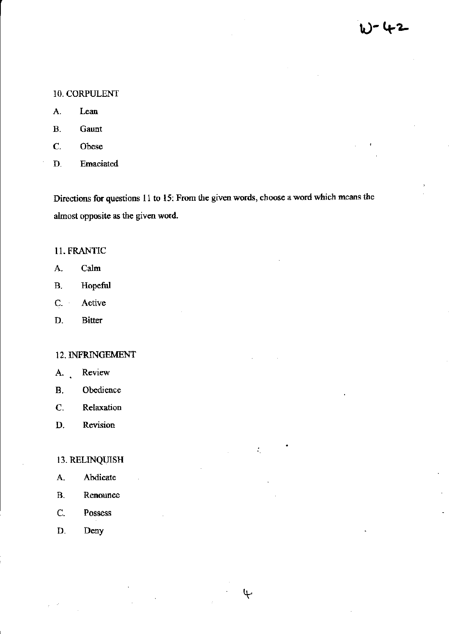### 10. CORPULENT

- **A. Lean**
- B. Gaunt
- C. Obese
- **D. Emaciated**

**Directions for questions 11 to 15: From the given words, choose a word which means the almost opposite as the given word.** 

÷,

 $\mathbf{\psi}$ 

#### 11. FRANTIC

- A. Calm
- B. Hopeful
- C. **Active**
- D. **Bitter**

#### 12. INFRINGEMENT

- **A. Review**
- B. Obedience
- **C. Relaxation**
- **D. Revision**

# 13. RELINQUISH

- A. Abdicate
- **B. Renounce**
- C. Possess
- D. Deny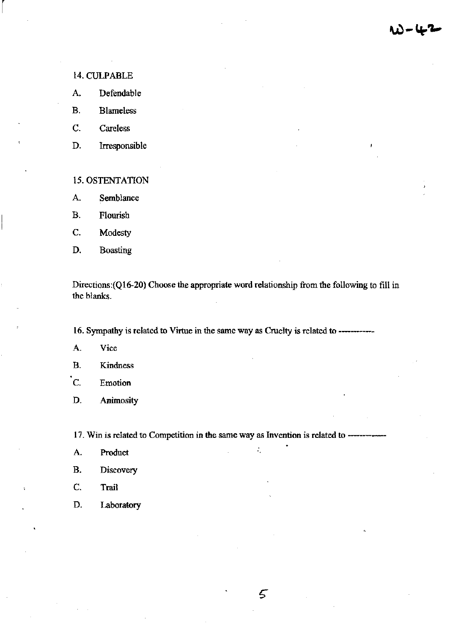ハード、

#### 14. CULPABLE

 $\lceil$ 

- A. Defendable
- B. Blameless
- C. Careless
- D. Irresponsible

#### 15. OSTENTATION

- A. Semblance
- B. Flourish
- C. Modesty
- D. Boasting

Directions:(Q16-20) Choose the appropriate word relationship from the following to fill in the blanks.

16. Sympathy is related to Virtue in the same way as Cruelty is related to -------------

- **A. Vice**
- B. Kindness
- **C. Emotion**
- D. Animosity

**17. Win is related to Competition in the same way as Invention is related to ----**

5

- A. Product in the set of the set of the set of the set of the set of the set of the set of the set of the set of the set of the set of the set of the set of the set of the set of the set of the set of the set of the set of
- **B. Discovery**
- C. Trail
- D. Laboratory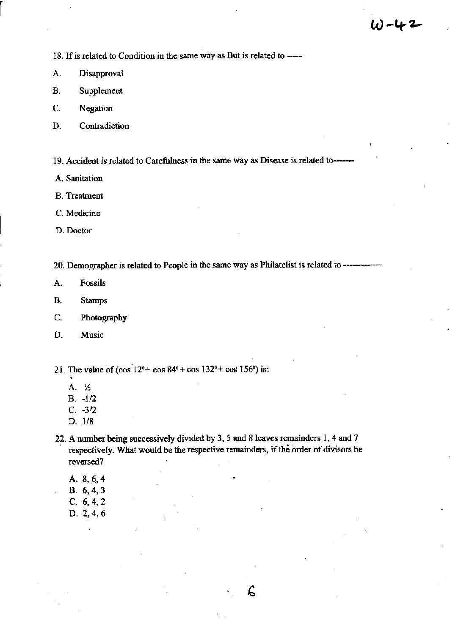18. If is related to Condition in the same way as But is related to -----

A. Disapproval

r

- B. Supplement
- C. Negation
- D. Contradiction
- 19. Accident is related to Carefulness in the same way as Disease is related to----
- A. Sanitation
- B. Treatment
- C.Medicine
- D. Doctor

20. Demographer is related to People in the same way as Philatelist is related to ------------

- A. Fossils
- B. Stamps
- C. Photography
- D. Music
- 21. The value of  $(\cos 12^{\circ} + \cos 84^{\circ} + \cos 132^{\circ} + \cos 156^{\circ})$  is:
	- A. 'h
	- $B. -1/2$
	- C. *-3/2*
	- D. *118*
- 22. A number being successively divided by 3, 5 and 8 leaves remainders 1,4 and 7 respectively. What would be the respective remainders. if the order of divisors be reversed?

 $\mathcal{L}$ 

- A. 8,6,4
- B. 6,4,3
- C. 6,4,2
- D.2,4,6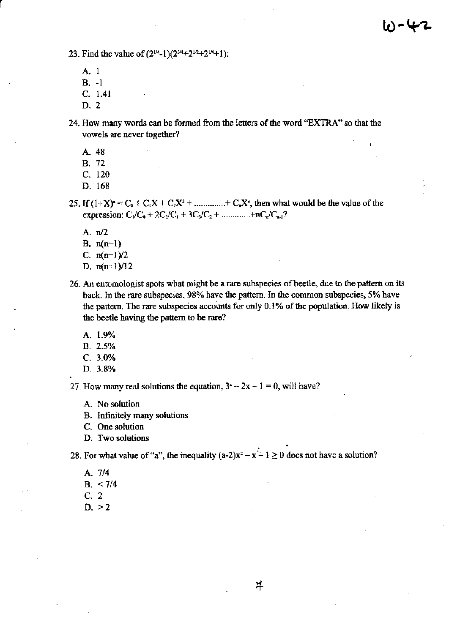23. Find the value of  $(2^{1/4}-1)(2^{3/4}+2^{1/2}+2^{1/4}+1)$ :

Al B. -I C. 1.41

r

D. 2

24. How many words can be formed from the letters of the word "EXTRA" so that the **vowels are never together?** 

A.48

B. 72

C. 120

D. 168

25. If  $(1+X)^{n} = C_0 + C_1X + C_2X^{2} + \dots + C_nX^{n}$ , then what would be the value of the expression:  $C_1/C_0 + 2C_2/C_1 + 3C_3/C_2 + \dots + nC_n/C_{n-1}$ ?

- A. n/2
- B. n(n+1)
- C.  $n(n+1)/2$
- D.  $n(n+1)/12$
- **26. An entomologist spots what might be a rare subspecies** of beetle. **due to the pattern on its back. In the rare subspecies, 98% have the pattern. In the common subspecies, 5% have the pattern. The rare subspecies accounts for only 0.1 % of the population. How likely is**  the beetle having the pattern to be rare?
	- A **1.9%**
	- B. **2.5%**
	- C. 3.0%
	- D. **3.8%**

27. How many real solutions the equation,  $3^2 - 2x - 1 = 0$ , will have?

- **A. No solution**
- B. Infinitely many solutions

**C. One solution** 

**D. Two solutions**<br>28. For what value of "a", the inequality  $(a-2)x^2 - x - 1 \ge 0$  does not have a solution?

- A *7/4*
- $B. < 7/4$
- C. 2
- $D. > 2$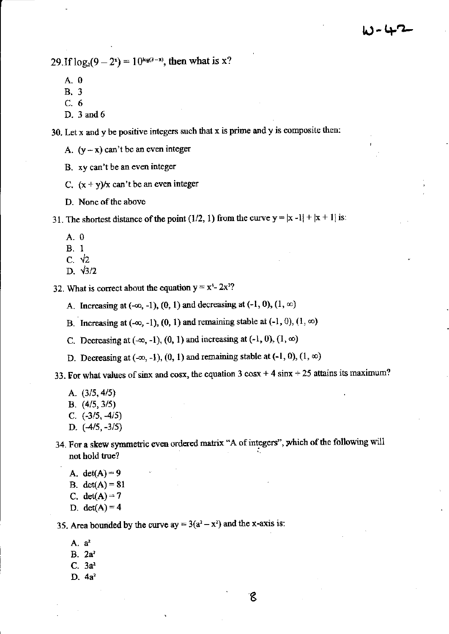$29$ , If  $log_2(9 - 2^x) = 10^{\log(3 - x)}$ , then what is x?

- A. 0
- B. 3
- C. 6
- D. 3 and 6

**30. Let x and y be positive integers such that x is prime and y is composite then:** 

- A.  $(y-x)$  can't be an even integer
- **B. xy can't be an even integer**
- C.  $(x + y)/x$  can't be an even integer
- **D. None** of the **above**

31. The shortest distance of the point (1/2, 1) from the curve  $y = |x - 1| + |x + 1|$  is:

- $A.0$
- B. I
- C.  $\sqrt{2}$
- D.  $\sqrt{3}/2$

**32.** What is correct about the equation  $y = x^4 - 2x^2$ ?

- A. Increasing at  $(-\infty, -1)$ ,  $(0, 1)$  and decreasing at  $(-1, 0)$ ,  $(1, \infty)$
- B. Increasing at  $(-\infty, -1)$ ,  $(0, 1)$  and remaining stable at  $(-1, 0)$ ,  $(1, \infty)$
- C. Decreasing at  $(-\infty, -1)$ ,  $(0, 1)$  and increasing at  $(-1, 0)$ ,  $(1, \infty)$
- D. Decreasing at  $(-\infty, -1)$ ,  $(0, 1)$  and remaining stable at  $(-1, 0)$ ,  $(1, \infty)$

**33. For what values of sinx and cosx, the equation 3 cosx + 4 sinx + 25 attains its maximum?** 

- A.  $(3/5, 4/5)$
- B. (415,3/5)
- C.  $(-3/5, -4/5)$
- D.  $(-4/5, -3/5)$
- 34. For a skew symmetric even ordered matrix "A of integers", which of the following will not hold true?
	- A. det(A) = 9
	- B.  $det(A) = 81$
	- C. det $(A) = 7$
	- D. det $(A) = 4$

35. Area bounded by the curve  $ay = 3(a^2 - x^2)$  and the x-axis is:

- **A. a<sup>1</sup>**
- **B. 2a2**
- **C. 3a1**
- **D.4a2**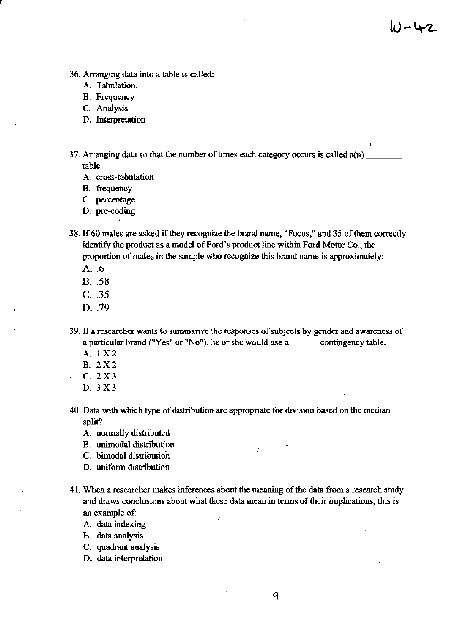W - 42

- 36. Arranging data into a table is called:
	- A. Tabulation.
	- **B. Frequency**

C. Analysis

 $\begin{bmatrix} 1 \\ 1 \end{bmatrix}$ 

- D. Interpretation
- 37. Arranging data so that the number of times each category occurs is called  $a(n)$ table.
	- **A. cross-tabulation**
	- B. frequency
	- C. percentage
	- **D. pre-coding**
- 38. If 60 males are asked if they recognize the brand name, "Focus," and 35 of them correctly identify the product as a model of Ford's product line within Ford Motor Co., the **proportion of males in the sample who recognize this brand name is approximately:** 
	- A. .6
	- B. .58
	- C. .35
	- D. 79
- **39. If a researcher wants to summarize the responses of subjects by gender and awareness of**  a particular brand ("Yes" or "No"), he or she would use a contingency table.
	- A. I X2
	- B. 2X2
	- C. 2X3
	- D. 3 X3
- **40. Data with which type of distribution are appropriate for division based on the median**  split?
	- A. normally distributed
	- **B. unimodal distribution**
	- C. bimodal distribution
	- D. uniform distribution
- **41. When a researcher makes inferences about the meaning of the data from a research study and draws conclusions about what these data mean in terms of their implications, this is an example of:** 
	- **A. data indexing**
	- B. data analysis
	- C. quadrant analysis
	- **D. data interpretation**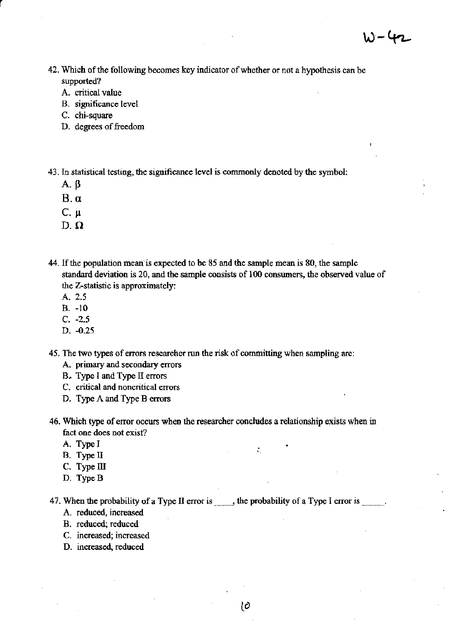- **42. Which** of the **following becomes key indicator** of whether **or not a hypothesis can be supported?** 
	- **A. critical value**
	- **B. significance level**
	- **C. chi-square**
	- D. degrees of freedom

43. In statistical testing. the significance level is commonly denoted by the symbol:

 $A. \beta$ 

r

- *B.a*
- C. Il
- D. $\Omega$
- 44. If the population mean is expected to be 85 and the sample mean is 80. the sample **standard deviation is 20, and the sample consists of 100 consumers, the observed value of the Z-statistic is approximately:** 
	- A. 2.5
	- B. -10
	- c. -2.5
	- D. -0.25

**45. The two types of errors researcher run the risk of committing when sampling are:** 

- A. primary and secondary errors
- B. Type I and Type II errors
- **C. critical and noncritical errors**
- D. Type A and Type B errors
- **46. Which type of error occurs when the researcher concludes a relationship exists when in fact one does not exist?** 
	- A. Type I
	- B. Type II
	- C. Type III
	- D. TypeB

47. When the probability of a Type II error is  $\ldots$ , the probability of a Type I error is  $\ldots$ .

- **A. reduced, increased**
- B. reduced; reduced
- **C. increased; increased**
- D. increased, reduced

. .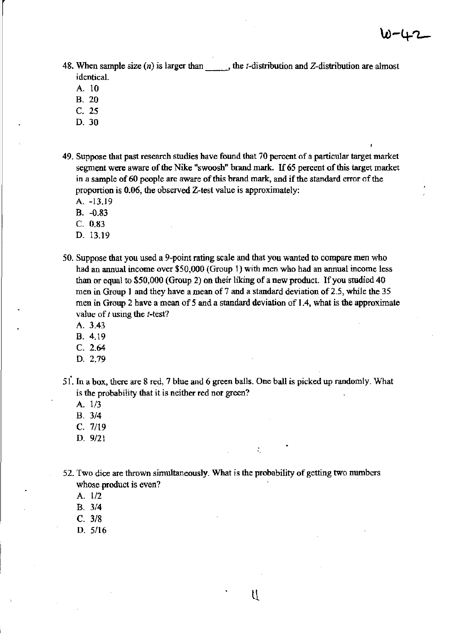48. When sample size  $(n)$  is larger than  $\qquad$ , the *t*-distribution and Z-distribution are almost **identical.** 

A. 10

- B. 20
- C. 25
- D.30
- **49. Suppose that past research studies have found that 70 percent of a particular target market segment were aware of the Nike "swoosh" brand mark. If 65 percent of this target market in a sample of 60 people are aware of this brand mark, and if the standard error of the proportion is 0.06, the observed Z-test value is approximately:** 
	- A. -13.19
	- B. -0.83
	- C. 0.83
	- D. 13.19
- **50. Suppose that you used a 9-point rating scale and that you wanted to compare men who had an annual income over \$50,000 (Group 1) with men who had an annual income less**  than or equal to \$50,000 (Group 2) on their liking of a new product. If you studied 40 men in Group 1 and they have a mean of 7 and a standard deviation of 2.5, while the 35 men in Group 2 have a mean of 5 and a standard deviation of 1.4, what is the approximate **value of** *t* **using the** *t-test?* 
	- A.3.43
	- B. 4.19
	- C. 2.64
	- D. 2.79
- 51. In a box, there are 8 red, 7 blue and 6 green balls. One ball is picked up randomly. What is the probability that it is neither red nor green?
	- A. 1/3
	- B. 314
	- C. 7119
	- D.  $9/21$
- **52. Two dice are thrown simultaneously. What is the probability of getting two numbers whose product is even?** 
	- A. 1/2
	- B. 314
	- C. 318
	- D. 5116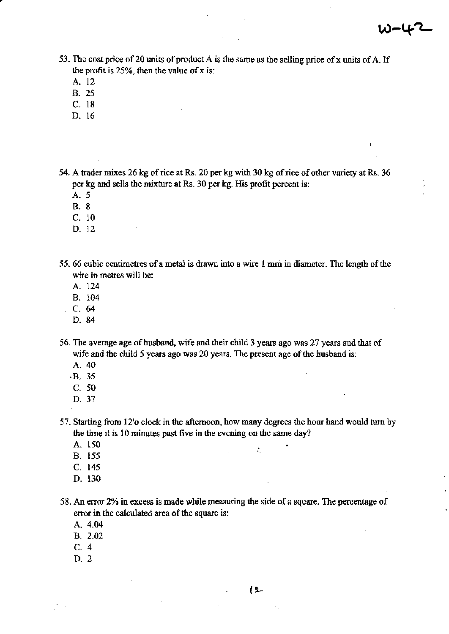- **53. The cost price of20 units** of product **A is the same as the selling price ofx units of A. If the profit is 25%, then the value of x is:** 
	- A. 12
	- B. 25
	- C. 18
	- D. 16

54. A trader mixes 26 kg of rice at Rs. 20 per kg with 30 kg of rice of other variety at Rs. 36 per kg and sells the mixture at Rs. 30 per kg. His profit percent is:

- A. 5
- B. 8
- C. 10
- D. 12
- **55.66 cubic centimetres of a metal is drawn into a wire 1 rum in diameter. The length** of the **wire in metres will be:** 
	- A 124
	- B. 104
	- C.64
	- D.84

**56. The average age** of husband, **wife and their child 3 years ago was 27 years and that of**  wife and the child 5 years ago was 20 years. The present age of the husband is:

- A.40
- .B. 35
- C. 50
- D.37
- 57. Starting from 12'0 clock in the afternoon, how many degrees the hour hand would turu by **the time it is 10 minutes past five in the evening on the same day?** 
	- A. 150
	- B. 155
	- C. 145
	- D. 130

**58. An error 2% in excess is made while measuring the side of a square. The percentage of error in the calculated area** of the **square is:** 

- A.4.04
- B. 2.02
- C. 4
- D. 2

. .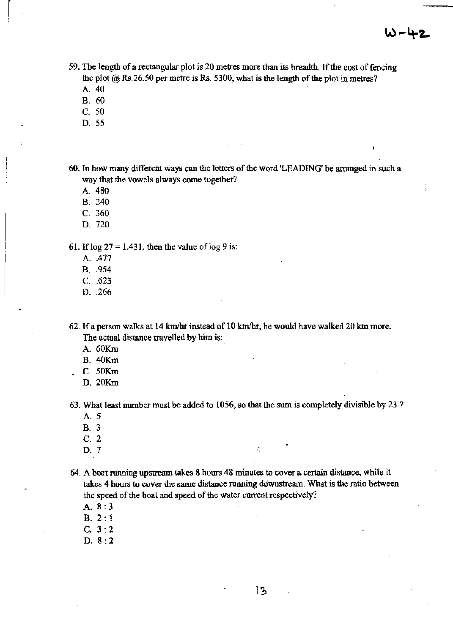- 59. The length of a rectangular plot is 20 metres more than its breadth. If the cost of fencing the plot  $@$  Rs. 26.50 per metre is Rs. 5300, what is the length of the plot in metres?
	- A.40

 $\left| \begin{array}{c} \hline \hline \hline \hline \hline \hline \hline \end{array} \right|$ 

- B. 60
- C. 50
- D. 55

**60. In how many different ways can the letters** of the **word 'LEADING' be arranged in such a way that the vowels always come together?** 

- A. 480
- B. 240
- C. 360
- D.720

61. If log  $27 = 1.431$ , then the value of log 9 is:

- A . .477
- B. .954
- C. .623
- D. .266

62. If a person walks at 14 km/hr instead of 10 km/hr, he would have walked 20 km more. The actual distance travelled by him is:

- A.60Km
- B.40Km
- C. 50Km
- D.20Km

63. What least number must be added to 1056, so that the sum is completely divisible by 23 ?

"

- A. 5
- B. 3
- C. 2
- **D.** 7 **D.** 7

**64. A boat running upstream takes 8 hours 48 minutes to cover a certain distance. While it**  takes 4 hours to cover the same distance running downstream. What is the ratio between the speed of the boat and speed of the water current respectively?

- A. 8:3
- B, 2: 1
- C. 3:2
- D. 8:2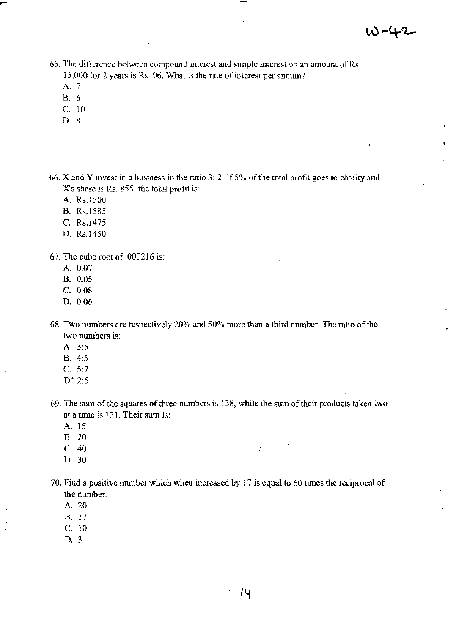£

- 65. The difference between compound interest and simple interest on an amount of Rs. 15,000 for 2 years is Rs. 96. What is the rate of interest per annum?
	- A, 7
	- B, 6
	- C 10
	- D, 8

66. X and Y invest in a business in the ratio 3: 2. If  $5\%$  of the total profit goes to charity and X's share is Rs. 855, the total profit is:

A, Rs,1500

- B. Rs.1585
- C. Rs.1475
- D, Rs,1450

67, The cube root of 000216 is:

- A, 0,07
- B, 0,05
- $C. 0.08$
- D. 0.06
- 68. Two numbers are respectively 20% and 50% more than a third number. The ratio of the two numbers is:
	- A. 3:5
	- B, 4:5
	- C. 5:7
	- D: 2:5
- 69. The sum of the squares of three numbers is 138, while the sum of their products taken two at a time is 131. Their sum is:

 $\ddot{\phantom{a}}$ 

- A. 15
- B, 20
- C 40
- D, 30
- 70, Find a positive number which when increased by 17 is equal to 60 times the reciprocal of the number.
	- A. 20

B, 17

- C 10
- D, 3

 $\ddot{\cdot}$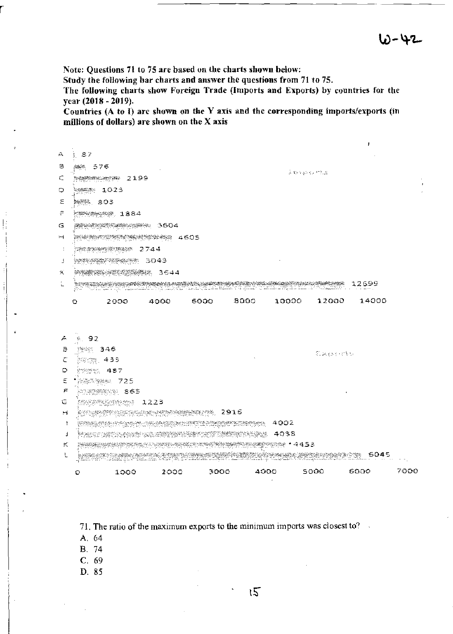Note: Questions 71 to 75 arc based on the charts shown below:

Study the following bar charts and answer the questions from 71 to 75.

The following charts show Foreign Trade (Imports and Exports) by countries for the year (2018 - 2019).

Countries (A to I) arc shown on the Y axis and the corresponding imports/exports (in millions of dollars) are shown on the  $X$  axis

| $\frac{1}{2}$ 87<br>А<br>а<br><b>解き 576</b><br>医轻线线细胞瘤<br>c<br><b>Newspaper 2199</b><br>೬ <del>೦</del> ೫೦೫೫ 1023<br>O.<br>Ξ<br>‱್. 803<br>₹<br><b>See 200 1884</b><br>G                                                                                                                                                                                                                                                                                                           |               |
|-----------------------------------------------------------------------------------------------------------------------------------------------------------------------------------------------------------------------------------------------------------------------------------------------------------------------------------------------------------------------------------------------------------------------------------------------------------------------------------|---------------|
|                                                                                                                                                                                                                                                                                                                                                                                                                                                                                   |               |
|                                                                                                                                                                                                                                                                                                                                                                                                                                                                                   |               |
|                                                                                                                                                                                                                                                                                                                                                                                                                                                                                   |               |
|                                                                                                                                                                                                                                                                                                                                                                                                                                                                                   |               |
|                                                                                                                                                                                                                                                                                                                                                                                                                                                                                   |               |
|                                                                                                                                                                                                                                                                                                                                                                                                                                                                                   |               |
|                                                                                                                                                                                                                                                                                                                                                                                                                                                                                   |               |
| ь4<br>ale waxayeeyeeyeeya 4605                                                                                                                                                                                                                                                                                                                                                                                                                                                    |               |
| <b>SERVER SERVER 2744</b><br>$\cdot$                                                                                                                                                                                                                                                                                                                                                                                                                                              |               |
| <b>RESERVE SOAS</b><br>J                                                                                                                                                                                                                                                                                                                                                                                                                                                          |               |
| ×.<br>PONT RESERVANCE 3644                                                                                                                                                                                                                                                                                                                                                                                                                                                        |               |
| 1900 - Maria Maria Manazarta (h. 1954).<br>Na historia (h. 1955).<br>í.                                                                                                                                                                                                                                                                                                                                                                                                           |               |
|                                                                                                                                                                                                                                                                                                                                                                                                                                                                                   |               |
| 5000 8000 10000<br>12000 14000<br>2000 4000<br>O                                                                                                                                                                                                                                                                                                                                                                                                                                  |               |
|                                                                                                                                                                                                                                                                                                                                                                                                                                                                                   |               |
|                                                                                                                                                                                                                                                                                                                                                                                                                                                                                   |               |
| 주 원 92                                                                                                                                                                                                                                                                                                                                                                                                                                                                            |               |
| Ð<br>經經 346<br>Signery of the                                                                                                                                                                                                                                                                                                                                                                                                                                                     |               |
| €<br>ೀಲ್ಗಳು, 433                                                                                                                                                                                                                                                                                                                                                                                                                                                                  |               |
| O<br>约约约比 487                                                                                                                                                                                                                                                                                                                                                                                                                                                                     |               |
| E<br><b>SASSA 725</b>                                                                                                                                                                                                                                                                                                                                                                                                                                                             |               |
| Ł.<br>AGRU 1865                                                                                                                                                                                                                                                                                                                                                                                                                                                                   |               |
| G                                                                                                                                                                                                                                                                                                                                                                                                                                                                                 |               |
| MANY OF ASSESSMENT WARRANT (1916)<br>H.                                                                                                                                                                                                                                                                                                                                                                                                                                           |               |
| $\mathbb{R}$ is a subset of $\mathbb{R}$ , $\mathbb{R}$ , $\mathbb{R}$ , $\mathbb{R}$ , $\mathbb{R}$ , $\mathbb{R}$ , $\mathbb{R}$ , $\mathbb{R}$ , $\mathbb{R}$ , $\mathbb{R}$ , $\mathbb{R}$<br>÷                                                                                                                                                                                                                                                                               |               |
| $\begin{array}{lll} \mathcal{R}_{\text{MSE}}(x,y) & \mathcal{R}_{\text{MSE}}(x,y) & \mathcal{R}_{\text{MSE}}(x,y) & \mathcal{R}_{\text{MSE}}(x,y) & \mathcal{R}_{\text{MSE}}(x,y) & \mathcal{R}_{\text{MSE}}(x,y) & \mathcal{R}_{\text{MSE}}(x,y) & \mathcal{R}_{\text{MSE}}(x,y) & \mathcal{R}_{\text{MSE}}(x,y) & \mathcal{R}_{\text{MSE}}(x,y) & \mathcal{R}_{\text{MSE}}(x,y) & \mathcal{R}_{\text{MSE}}(x,y) & \mathcal{R}_{\text$<br>j<br><u> अध्यास्थ्या</u> प्रश्≉ा 14453 |               |
| K.<br>MARK AND A STREET AND A COMPANY OF THE REAL PROPERTY OF THE REAL PROPERTY OF THE REAL PROPERTY OF THE REAL PRO                                                                                                                                                                                                                                                                                                                                                              |               |
| esta (nominatum 1945)<br>a status de la parte de la marca de la construcción de la marca de la marca de la marca de la marca de la marc<br>Del 1990, el construcción de la marca de la marca de la marca de la marca de la marca de la marca de la marca                                                                                                                                                                                                                          |               |
| 1000 2000<br>3000 -<br>4000 5000<br>O                                                                                                                                                                                                                                                                                                                                                                                                                                             | 7000<br>6000. |
|                                                                                                                                                                                                                                                                                                                                                                                                                                                                                   |               |
|                                                                                                                                                                                                                                                                                                                                                                                                                                                                                   |               |

71. The ratio of the maximum exports to the minjmum imports was closest to?

- A. 64
- B. 74
- C. 69
- D. 85